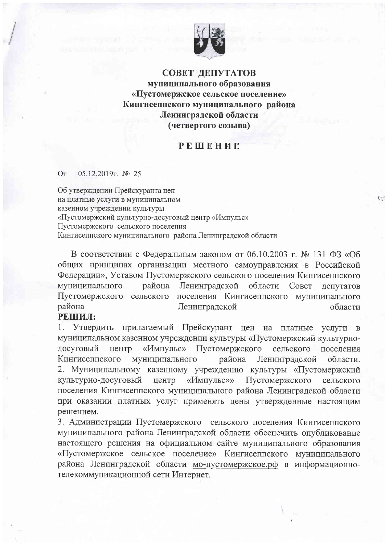

СОВЕТ ДЕПУТАТОВ муниципального образования «Пустомержское сельское поселение» Кингисеппского муниципального района Ленинградской области (четвертого созыва)

## PEHEHUE

## 05.12.2019г. № 25 OT

Об утверждении Прейскуранта цен на платные услуги в муниципальном казенном учреждении культуры «Пустомержский культурно-досуговый центр «Импульс» Пустомержского сельского поселения Кингисеппского муниципального района Ленинградской области

В соответствии с Федеральным законом от 06.10.2003 г. № 131 ФЗ «Об общих принципах организации местного самоуправления в Российской Федерации», Уставом Пустомержского сельского поселения Кингисеппского муниципального Ленинградской района области Совет депутатов Пустомержского сельского поселения Кингисеппского муниципального района Ленинградской области

## РЕШИЛ:

Τ. Утвердить прилагаемый Прейскурант цен на платные услуги в муниципальном казенном учреждении культуры «Пустомержский культурно-«Импульс» Пустомержского досуговый центр сельского поселения муниципального Кингисеппского района Ленинградской области. 2. Муниципальному казенному учреждению культуры «Пустомержский «Импульс»» Пустомержского культурно-досуговый центр сельского поселения Кингисеппского муниципального района Ленинградской области при оказании платных услуг применять цены утвержденные настоящим решением.

3. Администрации Пустомержского сельского поселения Кингисеппского муниципального района Ленинградской области обеспечить опубликование настоящего решения на официальном сайте муниципального образования «Пустомержское сельское поселение» Кингисеппского муниципального района Ленинградской области мо-пустомержское.рф в информационнотелекоммуникационной сети Интернет.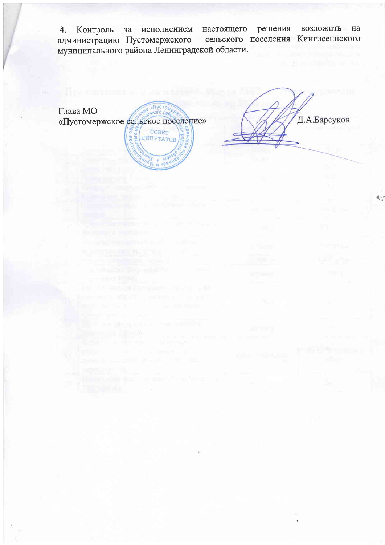настоящего решения возложить на Контроль исполнением 4.  $3a$ сельского поселения Кингисеппского администрацию Пустомержского муниципального района Ленинградской области.

**HAR & TIYCTOMO** Глава МО «Пустомержское сельское поселение» 06 COBET KOTO. ДЕПУТАТОВ HAW A "OW"

Д.А.Барсуков